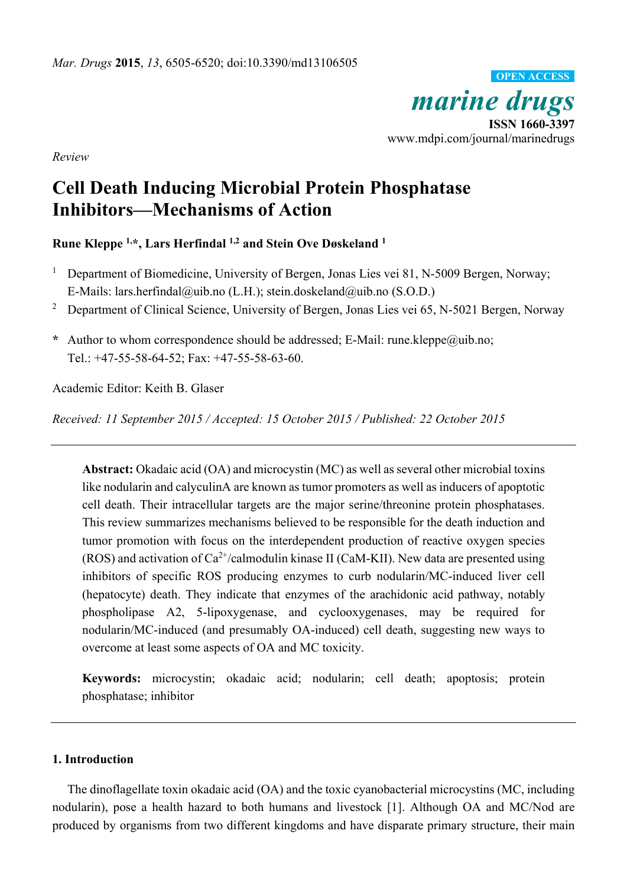

*Review* 

# **Cell Death Inducing Microbial Protein Phosphatase Inhibitors—Mechanisms of Action**

**Rune Kleppe 1,\*, Lars Herfindal 1,2 and Stein Ove Døskeland 1**

- 1 Department of Biomedicine, University of Bergen, Jonas Lies vei 81, N-5009 Bergen, Norway; E-Mails: lars.herfindal@uib.no (L.H.); stein.doskeland@uib.no (S.O.D.)
- <sup>2</sup> Department of Clinical Science, University of Bergen, Jonas Lies vei 65, N-5021 Bergen, Norway
- **\*** Author to whom correspondence should be addressed; E-Mail: rune.kleppe@uib.no; Tel.: +47-55-58-64-52; Fax: +47-55-58-63-60.

Academic Editor: Keith B. Glaser

*Received: 11 September 2015 / Accepted: 15 October 2015 / Published: 22 October 2015* 

**Abstract:** Okadaic acid (OA) and microcystin (MC) as well as several other microbial toxins like nodularin and calyculinA are known as tumor promoters as well as inducers of apoptotic cell death. Their intracellular targets are the major serine/threonine protein phosphatases. This review summarizes mechanisms believed to be responsible for the death induction and tumor promotion with focus on the interdependent production of reactive oxygen species (ROS) and activation of  $Ca^{2+}/c$ almodulin kinase II (CaM-KII). New data are presented using inhibitors of specific ROS producing enzymes to curb nodularin/MC-induced liver cell (hepatocyte) death. They indicate that enzymes of the arachidonic acid pathway, notably phospholipase A2, 5-lipoxygenase, and cyclooxygenases, may be required for nodularin/MC-induced (and presumably OA-induced) cell death, suggesting new ways to overcome at least some aspects of OA and MC toxicity.

**Keywords:** microcystin; okadaic acid; nodularin; cell death; apoptosis; protein phosphatase; inhibitor

# **1. Introduction**

The dinoflagellate toxin okadaic acid (OA) and the toxic cyanobacterial microcystins (MC, including nodularin), pose a health hazard to both humans and livestock [1]. Although OA and MC/Nod are produced by organisms from two different kingdoms and have disparate primary structure, their main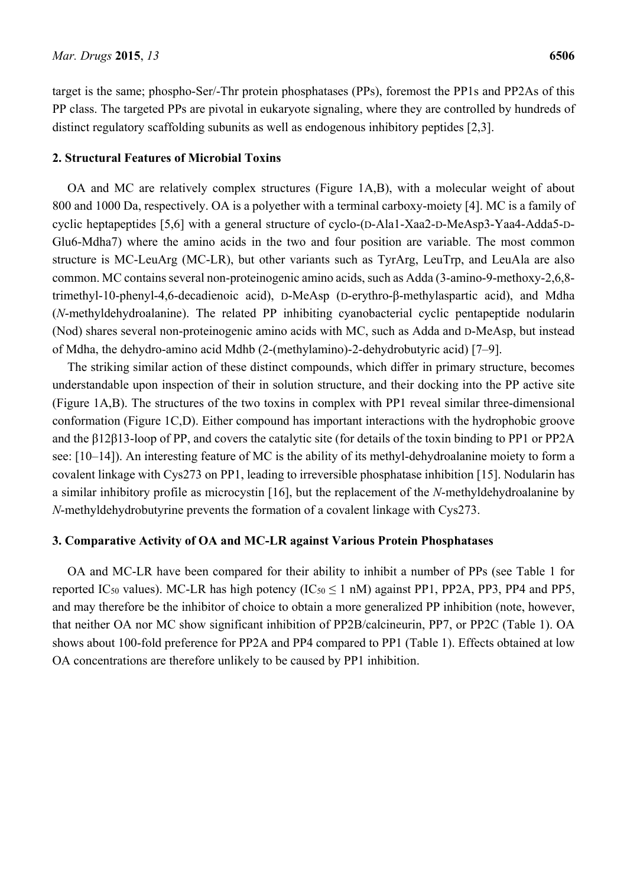target is the same; phospho-Ser/-Thr protein phosphatases (PPs), foremost the PP1s and PP2As of this PP class. The targeted PPs are pivotal in eukaryote signaling, where they are controlled by hundreds of distinct regulatory scaffolding subunits as well as endogenous inhibitory peptides [2,3].

### **2. Structural Features of Microbial Toxins**

OA and MC are relatively complex structures (Figure 1A,B), with a molecular weight of about 800 and 1000 Da, respectively. OA is a polyether with a terminal carboxy-moiety [4]. MC is a family of cyclic heptapeptides [5,6] with a general structure of cyclo-(D-Ala1-Xaa2-D-MeAsp3-Yaa4-Adda5-D-Glu6-Mdha7) where the amino acids in the two and four position are variable. The most common structure is MC-LeuArg (MC-LR), but other variants such as TyrArg, LeuTrp, and LeuAla are also common. MC contains several non-proteinogenic amino acids, such as Adda (3-amino-9-methoxy-2,6,8 trimethyl-10-phenyl-4,6-decadienoic acid), D-MeAsp (D-erythro-β-methylaspartic acid), and Mdha (*N*-methyldehydroalanine). The related PP inhibiting cyanobacterial cyclic pentapeptide nodularin (Nod) shares several non-proteinogenic amino acids with MC, such as Adda and D-MeAsp, but instead of Mdha, the dehydro-amino acid Mdhb (2-(methylamino)-2-dehydrobutyric acid) [7–9].

The striking similar action of these distinct compounds, which differ in primary structure, becomes understandable upon inspection of their in solution structure, and their docking into the PP active site (Figure 1A,B). The structures of the two toxins in complex with PP1 reveal similar three-dimensional conformation (Figure 1C,D). Either compound has important interactions with the hydrophobic groove and the β12β13-loop of PP, and covers the catalytic site (for details of the toxin binding to PP1 or PP2A see: [10–14]). An interesting feature of MC is the ability of its methyl-dehydroalanine moiety to form a covalent linkage with Cys273 on PP1, leading to irreversible phosphatase inhibition [15]. Nodularin has a similar inhibitory profile as microcystin [16], but the replacement of the *N*-methyldehydroalanine by *N*-methyldehydrobutyrine prevents the formation of a covalent linkage with Cys273.

### **3. Comparative Activity of OA and MC-LR against Various Protein Phosphatases**

OA and MC-LR have been compared for their ability to inhibit a number of PPs (see Table 1 for reported IC<sub>50</sub> values). MC-LR has high potency (IC<sub>50</sub>  $\leq$  1 nM) against PP1, PP2A, PP3, PP4 and PP5, and may therefore be the inhibitor of choice to obtain a more generalized PP inhibition (note, however, that neither OA nor MC show significant inhibition of PP2B/calcineurin, PP7, or PP2C (Table 1). OA shows about 100-fold preference for PP2A and PP4 compared to PP1 (Table 1). Effects obtained at low OA concentrations are therefore unlikely to be caused by PP1 inhibition.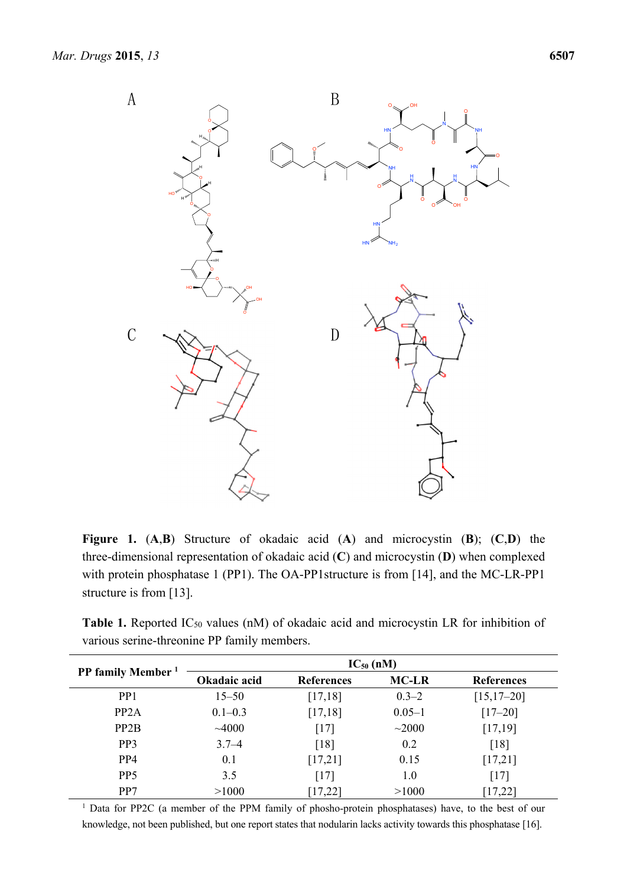

**Figure 1.** (**A**,**B**) Structure of okadaic acid (**A**) and microcystin (**B**); (**C**,**D**) the three-dimensional representation of okadaic acid (**C**) and microcystin (**D**) when complexed with protein phosphatase 1 (PP1). The OA-PP1 structure is from [14], and the MC-LR-PP1 structure is from [13].

Table 1. Reported IC<sub>50</sub> values (nM) of okadaic acid and microcystin LR for inhibition of various serine-threonine PP family members.

| <b>PP family Member</b> | $IC_{50}$ (nM) |                   |              |                   |
|-------------------------|----------------|-------------------|--------------|-------------------|
|                         | Okadaic acid   | <b>References</b> | <b>MC-LR</b> | <b>References</b> |
| PP <sub>1</sub>         | $15 - 50$      | [17, 18]          | $0.3 - 2$    | $[15, 17 - 20]$   |
| PP <sub>2</sub> A       | $0.1 - 0.3$    | [17, 18]          | $0.05 - 1$   | $[17 - 20]$       |
| PP <sub>2</sub> B       | ~1000          | [17]              | $~1$ $~2000$ | [17, 19]          |
| PP <sub>3</sub>         | $3.7 - 4$      | [18]              | 0.2          | [18]              |
| PP <sub>4</sub>         | 0.1            | [17,21]           | 0.15         | [17,21]           |
| P <sub>P5</sub>         | 3.5            | $[17]$            | 1.0          | [17]              |
| PP7                     | >1000          | [17, 22]          | >1000        | $17,22$ ]         |

<sup>1</sup> Data for PP2C (a member of the PPM family of phosho-protein phosphatases) have, to the best of our knowledge, not been published, but one report states that nodularin lacks activity towards this phosphatase [16].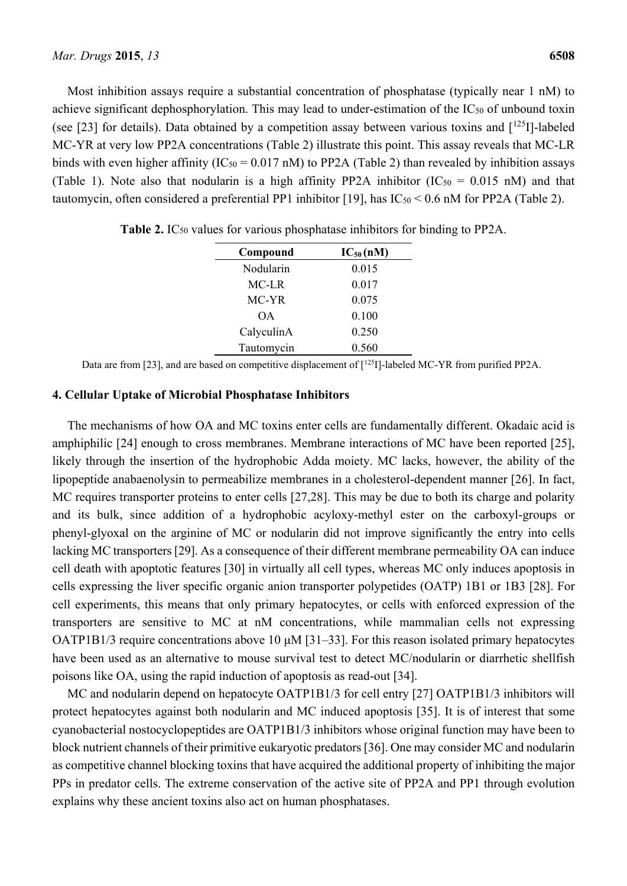Most inhibition assays require a substantial concentration of phosphatase (typically near 1 nM) to achieve significant dephosphorylation. This may lead to under-estimation of the  $IC_{50}$  of unbound toxin (see [23] for details). Data obtained by a competition assay between various toxins and  $[1^{25}I]$ -labeled MC-YR at very low PP2A concentrations (Table 2) illustrate this point. This assay reveals that MC-LR binds with even higher affinity ( $IC_{50} = 0.017$  nM) to PP2A (Table 2) than revealed by inhibition assays (Table 1). Note also that nodularin is a high affinity PP2A inhibitor  $(IC_{50} = 0.015 \text{ nM})$  and that tautomycin, often considered a preferential PP1 inhibitor [19], has  $IC_{50} < 0.6$  nM for PP2A (Table 2).

| Compound   | $IC_{50}(nM)$ |  |  |
|------------|---------------|--|--|
| Nodularin  | 0.015         |  |  |
| MC-LR      | 0.017         |  |  |
| MC-YR      | 0.075         |  |  |
| OΑ         | 0.100         |  |  |
| CalyculinA | 0.250         |  |  |
| Tautomycin | 0.560         |  |  |

**Table 2.** IC<sub>50</sub> values for various phosphatase inhibitors for binding to PP2A.

Data are from [23], and are based on competitive displacement of [<sup>125</sup>I]-labeled MC-YR from purified PP2A.

### **4. Cellular Uptake of Microbial Phosphatase Inhibitors**

The mechanisms of how OA and MC toxins enter cells are fundamentally different. Okadaic acid is amphiphilic [24] enough to cross membranes. Membrane interactions of MC have been reported [25], likely through the insertion of the hydrophobic Adda moiety. MC lacks, however, the ability of the lipopeptide anabaenolysin to permeabilize membranes in a cholesterol-dependent manner [26]. In fact, MC requires transporter proteins to enter cells [27,28]. This may be due to both its charge and polarity and its bulk, since addition of a hydrophobic acyloxy-methyl ester on the carboxyl-groups or phenyl-glyoxal on the arginine of MC or nodularin did not improve significantly the entry into cells lacking MC transporters [29]. As a consequence of their different membrane permeability OA can induce cell death with apoptotic features [30] in virtually all cell types, whereas MC only induces apoptosis in cells expressing the liver specific organic anion transporter polypetides (OATP) 1B1 or 1B3 [28]. For cell experiments, this means that only primary hepatocytes, or cells with enforced expression of the transporters are sensitive to MC at nM concentrations, while mammalian cells not expressing OATP1B1/3 require concentrations above 10 μM [31–33]. For this reason isolated primary hepatocytes have been used as an alternative to mouse survival test to detect MC/nodularin or diarrhetic shellfish poisons like OA, using the rapid induction of apoptosis as read-out [34].

MC and nodularin depend on hepatocyte OATP1B1/3 for cell entry [27] OATP1B1/3 inhibitors will protect hepatocytes against both nodularin and MC induced apoptosis [35]. It is of interest that some cyanobacterial nostocyclopeptides are OATP1B1/3 inhibitors whose original function may have been to block nutrient channels of their primitive eukaryotic predators [36]. One may consider MC and nodularin as competitive channel blocking toxins that have acquired the additional property of inhibiting the major PPs in predator cells. The extreme conservation of the active site of PP2A and PP1 through evolution explains why these ancient toxins also act on human phosphatases.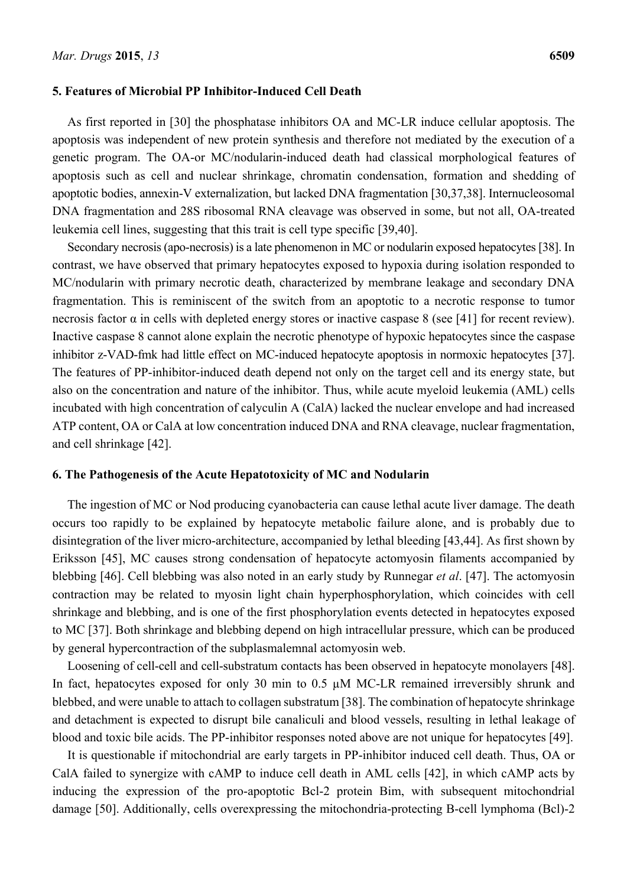As first reported in [30] the phosphatase inhibitors OA and MC-LR induce cellular apoptosis. The apoptosis was independent of new protein synthesis and therefore not mediated by the execution of a genetic program. The OA-or MC/nodularin-induced death had classical morphological features of apoptosis such as cell and nuclear shrinkage, chromatin condensation, formation and shedding of apoptotic bodies, annexin-V externalization, but lacked DNA fragmentation [30,37,38]. Internucleosomal DNA fragmentation and 28S ribosomal RNA cleavage was observed in some, but not all, OA-treated leukemia cell lines, suggesting that this trait is cell type specific [39,40].

Secondary necrosis (apo-necrosis) is a late phenomenon in MC or nodularin exposed hepatocytes [38]. In contrast, we have observed that primary hepatocytes exposed to hypoxia during isolation responded to MC/nodularin with primary necrotic death, characterized by membrane leakage and secondary DNA fragmentation. This is reminiscent of the switch from an apoptotic to a necrotic response to tumor necrosis factor α in cells with depleted energy stores or inactive caspase 8 (see [41] for recent review). Inactive caspase 8 cannot alone explain the necrotic phenotype of hypoxic hepatocytes since the caspase inhibitor z-VAD-fmk had little effect on MC-induced hepatocyte apoptosis in normoxic hepatocytes [37]. The features of PP-inhibitor-induced death depend not only on the target cell and its energy state, but also on the concentration and nature of the inhibitor. Thus, while acute myeloid leukemia (AML) cells incubated with high concentration of calyculin A (CalA) lacked the nuclear envelope and had increased ATP content, OA or CalA at low concentration induced DNA and RNA cleavage, nuclear fragmentation, and cell shrinkage [42].

### **6. The Pathogenesis of the Acute Hepatotoxicity of MC and Nodularin**

The ingestion of MC or Nod producing cyanobacteria can cause lethal acute liver damage. The death occurs too rapidly to be explained by hepatocyte metabolic failure alone, and is probably due to disintegration of the liver micro-architecture, accompanied by lethal bleeding [43,44]. As first shown by Eriksson [45], MC causes strong condensation of hepatocyte actomyosin filaments accompanied by blebbing [46]. Cell blebbing was also noted in an early study by Runnegar *et al*. [47]. The actomyosin contraction may be related to myosin light chain hyperphosphorylation, which coincides with cell shrinkage and blebbing, and is one of the first phosphorylation events detected in hepatocytes exposed to MC [37]. Both shrinkage and blebbing depend on high intracellular pressure, which can be produced by general hypercontraction of the subplasmalemnal actomyosin web.

Loosening of cell-cell and cell-substratum contacts has been observed in hepatocyte monolayers [48]. In fact, hepatocytes exposed for only 30 min to 0.5  $\mu$ M MC-LR remained irreversibly shrunk and blebbed, and were unable to attach to collagen substratum [38]. The combination of hepatocyte shrinkage and detachment is expected to disrupt bile canaliculi and blood vessels, resulting in lethal leakage of blood and toxic bile acids. The PP-inhibitor responses noted above are not unique for hepatocytes [49].

It is questionable if mitochondrial are early targets in PP-inhibitor induced cell death. Thus, OA or CalA failed to synergize with cAMP to induce cell death in AML cells [42], in which cAMP acts by inducing the expression of the pro-apoptotic Bcl-2 protein Bim, with subsequent mitochondrial damage [50]. Additionally, cells overexpressing the mitochondria-protecting B-cell lymphoma (Bcl)-2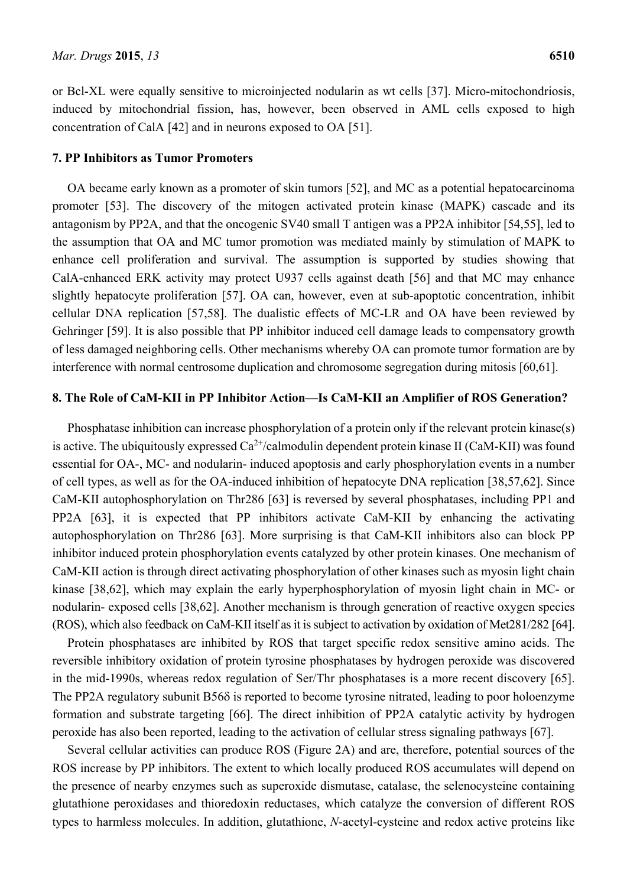or Bcl-XL were equally sensitive to microinjected nodularin as wt cells [37]. Micro-mitochondriosis, induced by mitochondrial fission, has, however, been observed in AML cells exposed to high concentration of CalA [42] and in neurons exposed to OA [51].

### **7. PP Inhibitors as Tumor Promoters**

OA became early known as a promoter of skin tumors [52], and MC as a potential hepatocarcinoma promoter [53]. The discovery of the mitogen activated protein kinase (MAPK) cascade and its antagonism by PP2A, and that the oncogenic SV40 small T antigen was a PP2A inhibitor [54,55], led to the assumption that OA and MC tumor promotion was mediated mainly by stimulation of MAPK to enhance cell proliferation and survival. The assumption is supported by studies showing that CalA-enhanced ERK activity may protect U937 cells against death [56] and that MC may enhance slightly hepatocyte proliferation [57]. OA can, however, even at sub-apoptotic concentration, inhibit cellular DNA replication [57,58]. The dualistic effects of MC-LR and OA have been reviewed by Gehringer [59]. It is also possible that PP inhibitor induced cell damage leads to compensatory growth of less damaged neighboring cells. Other mechanisms whereby OA can promote tumor formation are by interference with normal centrosome duplication and chromosome segregation during mitosis [60,61].

# **8. The Role of CaM-KII in PP Inhibitor Action—Is CaM-KII an Amplifier of ROS Generation?**

Phosphatase inhibition can increase phosphorylation of a protein only if the relevant protein kinase(s) is active. The ubiquitously expressed  $Ca^{2+}/c$ almodulin dependent protein kinase II (CaM-KII) was found essential for OA-, MC- and nodularin- induced apoptosis and early phosphorylation events in a number of cell types, as well as for the OA-induced inhibition of hepatocyte DNA replication [38,57,62]. Since CaM-KII autophosphorylation on Thr286 [63] is reversed by several phosphatases, including PP1 and PP2A [63], it is expected that PP inhibitors activate CaM-KII by enhancing the activating autophosphorylation on Thr286 [63]. More surprising is that CaM-KII inhibitors also can block PP inhibitor induced protein phosphorylation events catalyzed by other protein kinases. One mechanism of CaM-KII action is through direct activating phosphorylation of other kinases such as myosin light chain kinase [38,62], which may explain the early hyperphosphorylation of myosin light chain in MC- or nodularin- exposed cells [38,62]. Another mechanism is through generation of reactive oxygen species (ROS), which also feedback on CaM-KII itself as it is subject to activation by oxidation of Met281/282 [64].

Protein phosphatases are inhibited by ROS that target specific redox sensitive amino acids. The reversible inhibitory oxidation of protein tyrosine phosphatases by hydrogen peroxide was discovered in the mid-1990s, whereas redox regulation of Ser/Thr phosphatases is a more recent discovery [65]. The PP2A regulatory subunit  $B56\delta$  is reported to become tyrosine nitrated, leading to poor holoenzyme formation and substrate targeting [66]. The direct inhibition of PP2A catalytic activity by hydrogen peroxide has also been reported, leading to the activation of cellular stress signaling pathways [67].

Several cellular activities can produce ROS (Figure 2A) and are, therefore, potential sources of the ROS increase by PP inhibitors. The extent to which locally produced ROS accumulates will depend on the presence of nearby enzymes such as superoxide dismutase, catalase, the selenocysteine containing glutathione peroxidases and thioredoxin reductases, which catalyze the conversion of different ROS types to harmless molecules. In addition, glutathione, *N*-acetyl-cysteine and redox active proteins like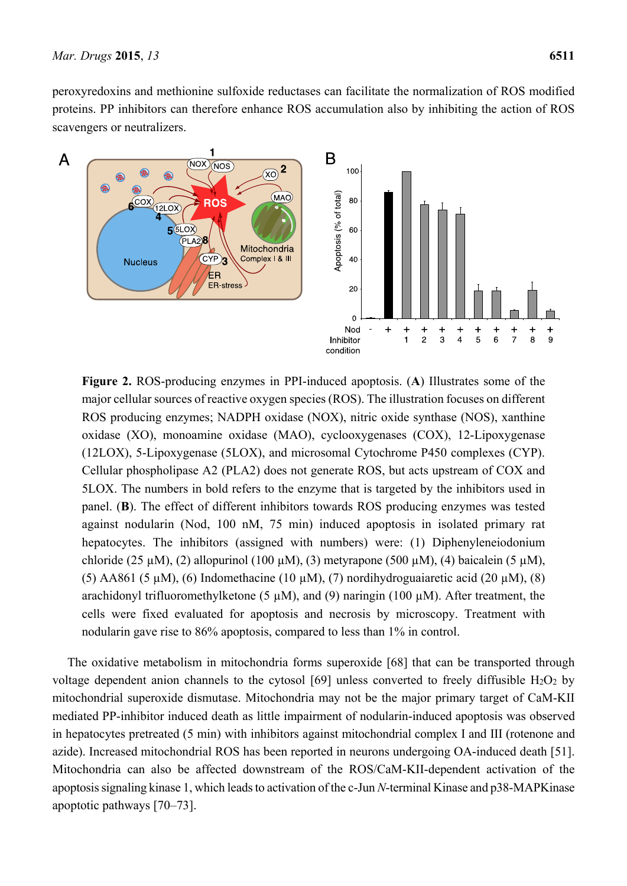peroxyredoxins and methionine sulfoxide reductases can facilitate the normalization of ROS modified proteins. PP inhibitors can therefore enhance ROS accumulation also by inhibiting the action of ROS scavengers or neutralizers.



**Figure 2.** ROS-producing enzymes in PPI-induced apoptosis. (**A**) Illustrates some of the major cellular sources of reactive oxygen species (ROS). The illustration focuses on different ROS producing enzymes; NADPH oxidase (NOX), nitric oxide synthase (NOS), xanthine oxidase (XO), monoamine oxidase (MAO), cyclooxygenases (COX), 12-Lipoxygenase (12LOX), 5-Lipoxygenase (5LOX), and microsomal Cytochrome P450 complexes (CYP). Cellular phospholipase A2 (PLA2) does not generate ROS, but acts upstream of COX and 5LOX. The numbers in bold refers to the enzyme that is targeted by the inhibitors used in panel. (**B**). The effect of different inhibitors towards ROS producing enzymes was tested against nodularin (Nod, 100 nM, 75 min) induced apoptosis in isolated primary rat hepatocytes. The inhibitors (assigned with numbers) were: (1) Diphenyleneiodonium chloride (25 µM), (2) allopurinol (100 µM), (3) metyrapone (500 µM), (4) baicalein (5 µM), (5) AA861 (5  $\mu$ M), (6) Indomethacine (10  $\mu$ M), (7) nordihydroguaiaretic acid (20  $\mu$ M), (8) arachidonyl trifluoromethylketone (5  $\mu$ M), and (9) naringin (100  $\mu$ M). After treatment, the cells were fixed evaluated for apoptosis and necrosis by microscopy. Treatment with nodularin gave rise to 86% apoptosis, compared to less than 1% in control.

The oxidative metabolism in mitochondria forms superoxide [68] that can be transported through voltage dependent anion channels to the cytosol [69] unless converted to freely diffusible  $H_2O_2$  by mitochondrial superoxide dismutase. Mitochondria may not be the major primary target of CaM-KII mediated PP-inhibitor induced death as little impairment of nodularin-induced apoptosis was observed in hepatocytes pretreated (5 min) with inhibitors against mitochondrial complex I and III (rotenone and azide). Increased mitochondrial ROS has been reported in neurons undergoing OA-induced death [51]. Mitochondria can also be affected downstream of the ROS/CaM-KII-dependent activation of the apoptosis signaling kinase 1, which leads to activation of the c-Jun *N*-terminal Kinase and p38-MAPKinase apoptotic pathways [70–73].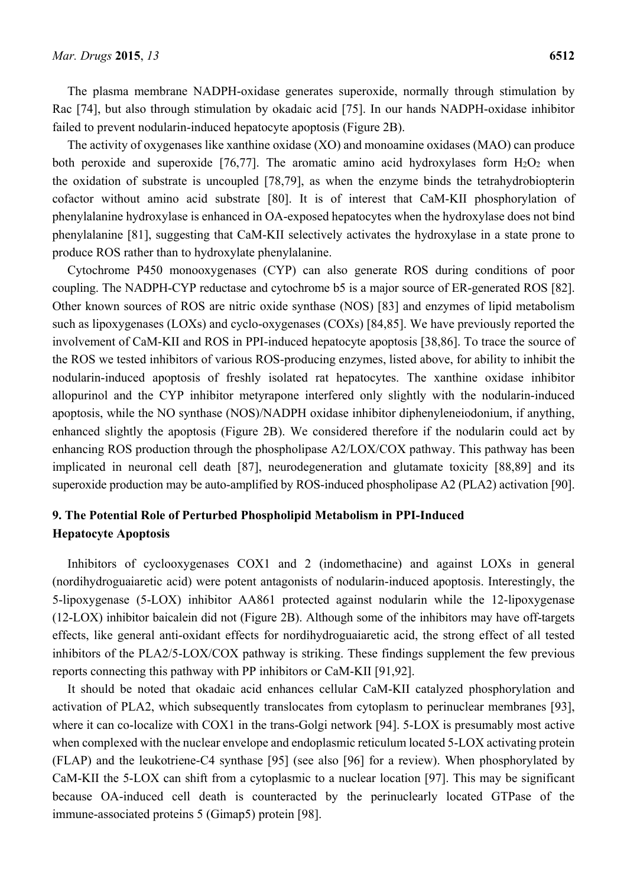The plasma membrane NADPH-oxidase generates superoxide, normally through stimulation by Rac [74], but also through stimulation by okadaic acid [75]. In our hands NADPH-oxidase inhibitor failed to prevent nodularin-induced hepatocyte apoptosis (Figure 2B).

The activity of oxygenases like xanthine oxidase (XO) and monoamine oxidases (MAO) can produce both peroxide and superoxide [76,77]. The aromatic amino acid hydroxylases form  $H_2O_2$  when the oxidation of substrate is uncoupled [78,79], as when the enzyme binds the tetrahydrobiopterin cofactor without amino acid substrate [80]. It is of interest that CaM-KII phosphorylation of phenylalanine hydroxylase is enhanced in OA-exposed hepatocytes when the hydroxylase does not bind phenylalanine [81], suggesting that CaM-KII selectively activates the hydroxylase in a state prone to produce ROS rather than to hydroxylate phenylalanine.

Cytochrome P450 monooxygenases (CYP) can also generate ROS during conditions of poor coupling. The NADPH-CYP reductase and cytochrome b5 is a major source of ER-generated ROS [82]. Other known sources of ROS are nitric oxide synthase (NOS) [83] and enzymes of lipid metabolism such as lipoxygenases (LOXs) and cyclo-oxygenases (COXs) [84,85]. We have previously reported the involvement of CaM-KII and ROS in PPI-induced hepatocyte apoptosis [38,86]. To trace the source of the ROS we tested inhibitors of various ROS-producing enzymes, listed above, for ability to inhibit the nodularin-induced apoptosis of freshly isolated rat hepatocytes. The xanthine oxidase inhibitor allopurinol and the CYP inhibitor metyrapone interfered only slightly with the nodularin-induced apoptosis, while the NO synthase (NOS)/NADPH oxidase inhibitor diphenyleneiodonium, if anything, enhanced slightly the apoptosis (Figure 2B). We considered therefore if the nodularin could act by enhancing ROS production through the phospholipase A2/LOX/COX pathway. This pathway has been implicated in neuronal cell death [87], neurodegeneration and glutamate toxicity [88,89] and its superoxide production may be auto-amplified by ROS-induced phospholipase A2 (PLA2) activation [90].

# **9. The Potential Role of Perturbed Phospholipid Metabolism in PPI-Induced Hepatocyte Apoptosis**

Inhibitors of cyclooxygenases COX1 and 2 (indomethacine) and against LOXs in general (nordihydroguaiaretic acid) were potent antagonists of nodularin-induced apoptosis. Interestingly, the 5-lipoxygenase (5-LOX) inhibitor AA861 protected against nodularin while the 12-lipoxygenase (12-LOX) inhibitor baicalein did not (Figure 2B). Although some of the inhibitors may have off-targets effects, like general anti-oxidant effects for nordihydroguaiaretic acid, the strong effect of all tested inhibitors of the PLA2/5-LOX/COX pathway is striking. These findings supplement the few previous reports connecting this pathway with PP inhibitors or CaM-KII [91,92].

It should be noted that okadaic acid enhances cellular CaM-KII catalyzed phosphorylation and activation of PLA2, which subsequently translocates from cytoplasm to perinuclear membranes [93], where it can co-localize with COX1 in the trans-Golgi network [94]. 5-LOX is presumably most active when complexed with the nuclear envelope and endoplasmic reticulum located 5-LOX activating protein (FLAP) and the leukotriene-C4 synthase [95] (see also [96] for a review). When phosphorylated by CaM-KII the 5-LOX can shift from a cytoplasmic to a nuclear location [97]. This may be significant because OA-induced cell death is counteracted by the perinuclearly located GTPase of the immune-associated proteins 5 (Gimap5) protein [98].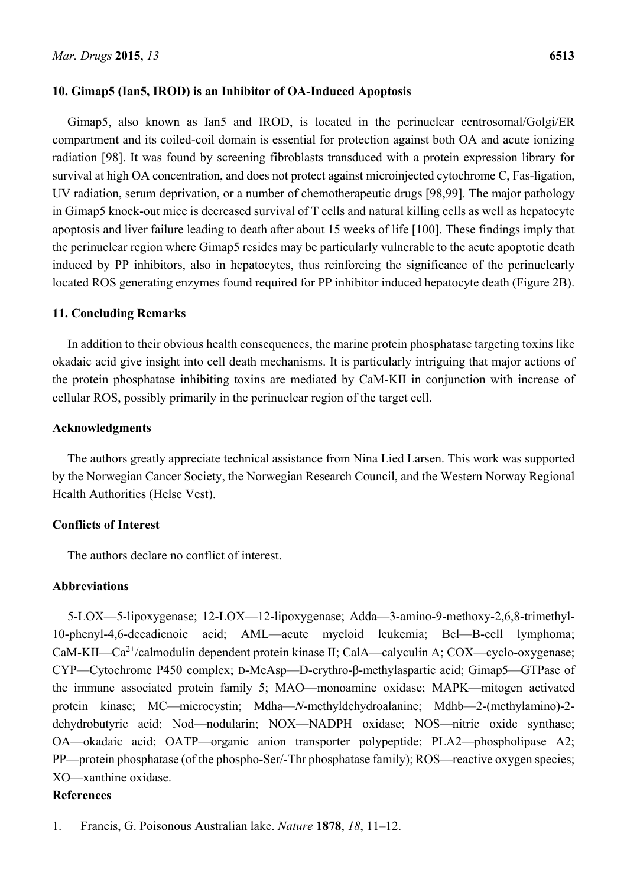# **10. Gimap5 (Ian5, IROD) is an Inhibitor of OA-Induced Apoptosis**

Gimap5, also known as Ian5 and IROD, is located in the perinuclear centrosomal/Golgi/ER compartment and its coiled-coil domain is essential for protection against both OA and acute ionizing radiation [98]. It was found by screening fibroblasts transduced with a protein expression library for survival at high OA concentration, and does not protect against microinjected cytochrome C, Fas-ligation, UV radiation, serum deprivation, or a number of chemotherapeutic drugs [98,99]. The major pathology in Gimap5 knock-out mice is decreased survival of T cells and natural killing cells as well as hepatocyte apoptosis and liver failure leading to death after about 15 weeks of life [100]. These findings imply that the perinuclear region where Gimap5 resides may be particularly vulnerable to the acute apoptotic death induced by PP inhibitors, also in hepatocytes, thus reinforcing the significance of the perinuclearly located ROS generating enzymes found required for PP inhibitor induced hepatocyte death (Figure 2B).

### **11. Concluding Remarks**

In addition to their obvious health consequences, the marine protein phosphatase targeting toxins like okadaic acid give insight into cell death mechanisms. It is particularly intriguing that major actions of the protein phosphatase inhibiting toxins are mediated by CaM-KII in conjunction with increase of cellular ROS, possibly primarily in the perinuclear region of the target cell.

### **Acknowledgments**

The authors greatly appreciate technical assistance from Nina Lied Larsen. This work was supported by the Norwegian Cancer Society, the Norwegian Research Council, and the Western Norway Regional Health Authorities (Helse Vest).

# **Conflicts of Interest**

The authors declare no conflict of interest.

# **Abbreviations**

5-LOX—5-lipoxygenase; 12-LOX—12-lipoxygenase; Adda—3-amino-9-methoxy-2,6,8-trimethyl-10-phenyl-4,6-decadienoic acid; AML—acute myeloid leukemia; Bcl—B-cell lymphoma; CaM-KII—Ca<sup>2+</sup>/calmodulin dependent protein kinase II; CalA—calyculin A; COX—cyclo-oxygenase; CYP—Cytochrome P450 complex; D-MeAsp—D-erythro-β-methylaspartic acid; Gimap5—GTPase of the immune associated protein family 5; MAO—monoamine oxidase; MAPK—mitogen activated protein kinase; MC—microcystin; Mdha—*N*-methyldehydroalanine; Mdhb—2-(methylamino)-2 dehydrobutyric acid; Nod—nodularin; NOX—NADPH oxidase; NOS—nitric oxide synthase; OA—okadaic acid; OATP—organic anion transporter polypeptide; PLA2—phospholipase A2; PP—protein phosphatase (of the phospho-Ser/-Thr phosphatase family); ROS—reactive oxygen species; XO—xanthine oxidase.

# **References**

1. Francis, G. Poisonous Australian lake. *Nature* **1878**, *18*, 11–12.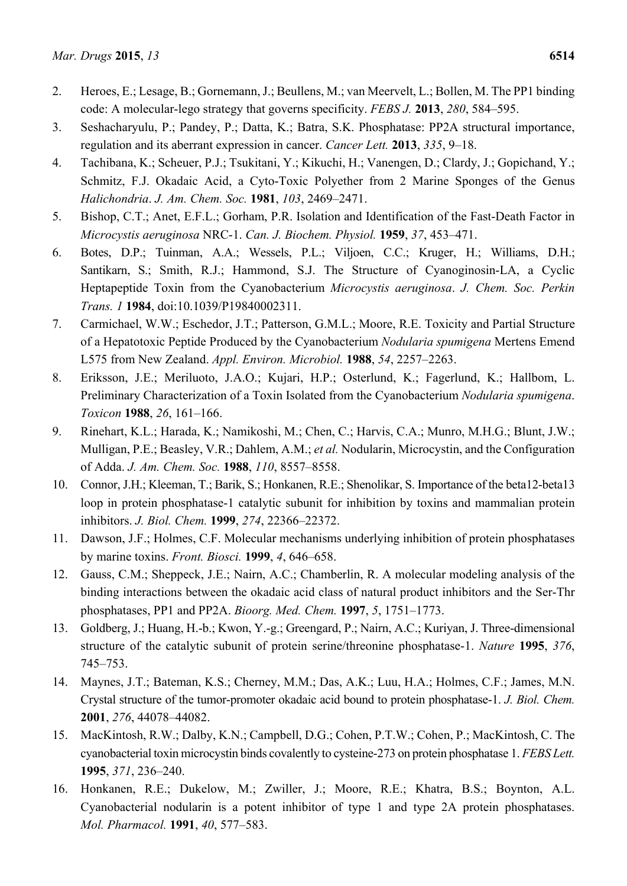- 2. Heroes, E.; Lesage, B.; Gornemann, J.; Beullens, M.; van Meervelt, L.; Bollen, M. The PP1 binding code: A molecular-lego strategy that governs specificity. *FEBS J.* **2013**, *280*, 584–595.
- 3. Seshacharyulu, P.; Pandey, P.; Datta, K.; Batra, S.K. Phosphatase: PP2A structural importance, regulation and its aberrant expression in cancer. *Cancer Lett.* **2013**, *335*, 9–18.
- 4. Tachibana, K.; Scheuer, P.J.; Tsukitani, Y.; Kikuchi, H.; Vanengen, D.; Clardy, J.; Gopichand, Y.; Schmitz, F.J. Okadaic Acid, a Cyto-Toxic Polyether from 2 Marine Sponges of the Genus *Halichondria*. *J. Am. Chem. Soc.* **1981**, *103*, 2469–2471.
- 5. Bishop, C.T.; Anet, E.F.L.; Gorham, P.R. Isolation and Identification of the Fast-Death Factor in *Microcystis aeruginosa* NRC-1. *Can. J. Biochem. Physiol.* **1959**, *37*, 453–471.
- 6. Botes, D.P.; Tuinman, A.A.; Wessels, P.L.; Viljoen, C.C.; Kruger, H.; Williams, D.H.; Santikarn, S.; Smith, R.J.; Hammond, S.J. The Structure of Cyanoginosin-LA, a Cyclic Heptapeptide Toxin from the Cyanobacterium *Microcystis aeruginosa*. *J. Chem. Soc. Perkin Trans. 1* **1984**, doi:10.1039/P19840002311.
- 7. Carmichael, W.W.; Eschedor, J.T.; Patterson, G.M.L.; Moore, R.E. Toxicity and Partial Structure of a Hepatotoxic Peptide Produced by the Cyanobacterium *Nodularia spumigena* Mertens Emend L575 from New Zealand. *Appl. Environ. Microbiol.* **1988**, *54*, 2257–2263.
- 8. Eriksson, J.E.; Meriluoto, J.A.O.; Kujari, H.P.; Osterlund, K.; Fagerlund, K.; Hallbom, L. Preliminary Characterization of a Toxin Isolated from the Cyanobacterium *Nodularia spumigena*. *Toxicon* **1988**, *26*, 161–166.
- 9. Rinehart, K.L.; Harada, K.; Namikoshi, M.; Chen, C.; Harvis, C.A.; Munro, M.H.G.; Blunt, J.W.; Mulligan, P.E.; Beasley, V.R.; Dahlem, A.M.; *et al.* Nodularin, Microcystin, and the Configuration of Adda. *J. Am. Chem. Soc.* **1988**, *110*, 8557–8558.
- 10. Connor, J.H.; Kleeman, T.; Barik, S.; Honkanen, R.E.; Shenolikar, S. Importance of the beta12-beta13 loop in protein phosphatase-1 catalytic subunit for inhibition by toxins and mammalian protein inhibitors. *J. Biol. Chem.* **1999**, *274*, 22366–22372.
- 11. Dawson, J.F.; Holmes, C.F. Molecular mechanisms underlying inhibition of protein phosphatases by marine toxins. *Front. Biosci.* **1999**, *4*, 646–658.
- 12. Gauss, C.M.; Sheppeck, J.E.; Nairn, A.C.; Chamberlin, R. A molecular modeling analysis of the binding interactions between the okadaic acid class of natural product inhibitors and the Ser-Thr phosphatases, PP1 and PP2A. *Bioorg. Med. Chem.* **1997**, *5*, 1751–1773.
- 13. Goldberg, J.; Huang, H.-b.; Kwon, Y.-g.; Greengard, P.; Nairn, A.C.; Kuriyan, J. Three-dimensional structure of the catalytic subunit of protein serine/threonine phosphatase-1. *Nature* **1995**, *376*, 745–753.
- 14. Maynes, J.T.; Bateman, K.S.; Cherney, M.M.; Das, A.K.; Luu, H.A.; Holmes, C.F.; James, M.N. Crystal structure of the tumor-promoter okadaic acid bound to protein phosphatase-1. *J. Biol. Chem.* **2001**, *276*, 44078–44082.
- 15. MacKintosh, R.W.; Dalby, K.N.; Campbell, D.G.; Cohen, P.T.W.; Cohen, P.; MacKintosh, C. The cyanobacterial toxin microcystin binds covalently to cysteine-273 on protein phosphatase 1. *FEBS Lett.* **1995**, *371*, 236–240.
- 16. Honkanen, R.E.; Dukelow, M.; Zwiller, J.; Moore, R.E.; Khatra, B.S.; Boynton, A.L. Cyanobacterial nodularin is a potent inhibitor of type 1 and type 2A protein phosphatases. *Mol. Pharmacol.* **1991**, *40*, 577–583.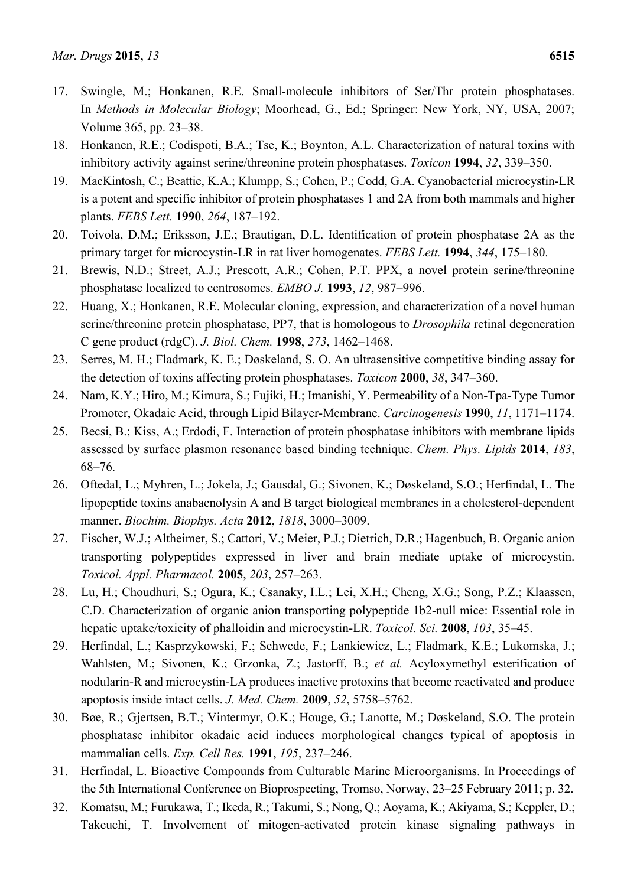- 17. Swingle, M.; Honkanen, R.E. Small-molecule inhibitors of Ser/Thr protein phosphatases. In *Methods in Molecular Biology*; Moorhead, G., Ed.; Springer: New York, NY, USA, 2007; Volume 365, pp. 23–38.
- 18. Honkanen, R.E.; Codispoti, B.A.; Tse, K.; Boynton, A.L. Characterization of natural toxins with inhibitory activity against serine/threonine protein phosphatases. *Toxicon* **1994**, *32*, 339–350.
- 19. MacKintosh, C.; Beattie, K.A.; Klumpp, S.; Cohen, P.; Codd, G.A. Cyanobacterial microcystin-LR is a potent and specific inhibitor of protein phosphatases 1 and 2A from both mammals and higher plants. *FEBS Lett.* **1990**, *264*, 187–192.
- 20. Toivola, D.M.; Eriksson, J.E.; Brautigan, D.L. Identification of protein phosphatase 2A as the primary target for microcystin-LR in rat liver homogenates. *FEBS Lett.* **1994**, *344*, 175–180.
- 21. Brewis, N.D.; Street, A.J.; Prescott, A.R.; Cohen, P.T. PPX, a novel protein serine/threonine phosphatase localized to centrosomes. *EMBO J.* **1993**, *12*, 987–996.
- 22. Huang, X.; Honkanen, R.E. Molecular cloning, expression, and characterization of a novel human serine/threonine protein phosphatase, PP7, that is homologous to *Drosophila* retinal degeneration C gene product (rdgC). *J. Biol. Chem.* **1998**, *273*, 1462–1468.
- 23. Serres, M. H.; Fladmark, K. E.; Døskeland, S. O. An ultrasensitive competitive binding assay for the detection of toxins affecting protein phosphatases. *Toxicon* **2000**, *38*, 347–360.
- 24. Nam, K.Y.; Hiro, M.; Kimura, S.; Fujiki, H.; Imanishi, Y. Permeability of a Non-Tpa-Type Tumor Promoter, Okadaic Acid, through Lipid Bilayer-Membrane. *Carcinogenesis* **1990**, *11*, 1171–1174.
- 25. Becsi, B.; Kiss, A.; Erdodi, F. Interaction of protein phosphatase inhibitors with membrane lipids assessed by surface plasmon resonance based binding technique. *Chem. Phys. Lipids* **2014**, *183*, 68–76.
- 26. Oftedal, L.; Myhren, L.; Jokela, J.; Gausdal, G.; Sivonen, K.; Døskeland, S.O.; Herfindal, L. The lipopeptide toxins anabaenolysin A and B target biological membranes in a cholesterol-dependent manner. *Biochim. Biophys. Acta* **2012**, *1818*, 3000–3009.
- 27. Fischer, W.J.; Altheimer, S.; Cattori, V.; Meier, P.J.; Dietrich, D.R.; Hagenbuch, B. Organic anion transporting polypeptides expressed in liver and brain mediate uptake of microcystin. *Toxicol. Appl. Pharmacol.* **2005**, *203*, 257–263.
- 28. Lu, H.; Choudhuri, S.; Ogura, K.; Csanaky, I.L.; Lei, X.H.; Cheng, X.G.; Song, P.Z.; Klaassen, C.D. Characterization of organic anion transporting polypeptide 1b2-null mice: Essential role in hepatic uptake/toxicity of phalloidin and microcystin-LR. *Toxicol. Sci.* **2008**, *103*, 35–45.
- 29. Herfindal, L.; Kasprzykowski, F.; Schwede, F.; Lankiewicz, L.; Fladmark, K.E.; Lukomska, J.; Wahlsten, M.; Sivonen, K.; Grzonka, Z.; Jastorff, B.; *et al.* Acyloxymethyl esterification of nodularin-R and microcystin-LA produces inactive protoxins that become reactivated and produce apoptosis inside intact cells. *J. Med. Chem.* **2009**, *52*, 5758–5762.
- 30. Bøe, R.; Gjertsen, B.T.; Vintermyr, O.K.; Houge, G.; Lanotte, M.; Døskeland, S.O. The protein phosphatase inhibitor okadaic acid induces morphological changes typical of apoptosis in mammalian cells. *Exp. Cell Res.* **1991**, *195*, 237–246.
- 31. Herfindal, L. Bioactive Compounds from Culturable Marine Microorganisms. In Proceedings of the 5th International Conference on Bioprospecting, Tromso, Norway, 23–25 February 2011; p. 32.
- 32. Komatsu, M.; Furukawa, T.; Ikeda, R.; Takumi, S.; Nong, Q.; Aoyama, K.; Akiyama, S.; Keppler, D.; Takeuchi, T. Involvement of mitogen-activated protein kinase signaling pathways in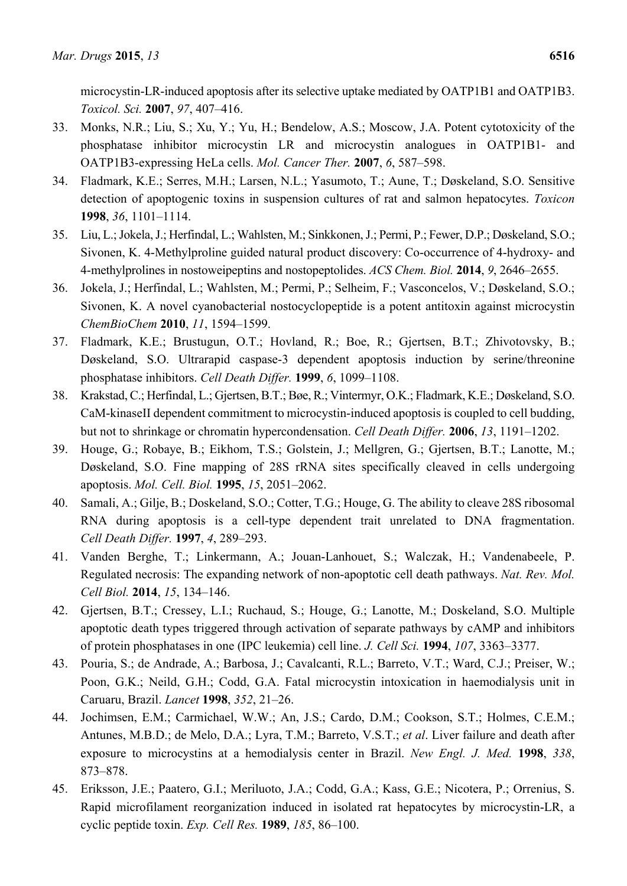microcystin-LR-induced apoptosis after its selective uptake mediated by OATP1B1 and OATP1B3. *Toxicol. Sci.* **2007**, *97*, 407–416.

- 33. Monks, N.R.; Liu, S.; Xu, Y.; Yu, H.; Bendelow, A.S.; Moscow, J.A. Potent cytotoxicity of the phosphatase inhibitor microcystin LR and microcystin analogues in OATP1B1- and OATP1B3-expressing HeLa cells. *Mol. Cancer Ther.* **2007**, *6*, 587–598.
- 34. Fladmark, K.E.; Serres, M.H.; Larsen, N.L.; Yasumoto, T.; Aune, T.; Døskeland, S.O. Sensitive detection of apoptogenic toxins in suspension cultures of rat and salmon hepatocytes. *Toxicon* **1998**, *36*, 1101–1114.
- 35. Liu, L.; Jokela, J.; Herfindal, L.; Wahlsten, M.; Sinkkonen, J.; Permi, P.; Fewer, D.P.; Døskeland, S.O.; Sivonen, K. 4-Methylproline guided natural product discovery: Co-occurrence of 4-hydroxy- and 4-methylprolines in nostoweipeptins and nostopeptolides. *ACS Chem. Biol.* **2014**, *9*, 2646–2655.
- 36. Jokela, J.; Herfindal, L.; Wahlsten, M.; Permi, P.; Selheim, F.; Vasconcelos, V.; Døskeland, S.O.; Sivonen, K. A novel cyanobacterial nostocyclopeptide is a potent antitoxin against microcystin *ChemBioChem* **2010**, *11*, 1594–1599.
- 37. Fladmark, K.E.; Brustugun, O.T.; Hovland, R.; Boe, R.; Gjertsen, B.T.; Zhivotovsky, B.; Døskeland, S.O. Ultrarapid caspase-3 dependent apoptosis induction by serine/threonine phosphatase inhibitors. *Cell Death Differ.* **1999**, *6*, 1099–1108.
- 38. Krakstad, C.; Herfindal, L.; Gjertsen, B.T.; Bøe, R.; Vintermyr, O.K.; Fladmark, K.E.; Døskeland, S.O. CaM-kinaseII dependent commitment to microcystin-induced apoptosis is coupled to cell budding, but not to shrinkage or chromatin hypercondensation. *Cell Death Differ.* **2006**, *13*, 1191–1202.
- 39. Houge, G.; Robaye, B.; Eikhom, T.S.; Golstein, J.; Mellgren, G.; Gjertsen, B.T.; Lanotte, M.; Døskeland, S.O. Fine mapping of 28S rRNA sites specifically cleaved in cells undergoing apoptosis. *Mol. Cell. Biol.* **1995**, *15*, 2051–2062.
- 40. Samali, A.; Gilje, B.; Doskeland, S.O.; Cotter, T.G.; Houge, G. The ability to cleave 28S ribosomal RNA during apoptosis is a cell-type dependent trait unrelated to DNA fragmentation. *Cell Death Differ.* **1997**, *4*, 289–293.
- 41. Vanden Berghe, T.; Linkermann, A.; Jouan-Lanhouet, S.; Walczak, H.; Vandenabeele, P. Regulated necrosis: The expanding network of non-apoptotic cell death pathways. *Nat. Rev. Mol. Cell Biol.* **2014**, *15*, 134–146.
- 42. Gjertsen, B.T.; Cressey, L.I.; Ruchaud, S.; Houge, G.; Lanotte, M.; Doskeland, S.O. Multiple apoptotic death types triggered through activation of separate pathways by cAMP and inhibitors of protein phosphatases in one (IPC leukemia) cell line. *J. Cell Sci.* **1994**, *107*, 3363–3377.
- 43. Pouria, S.; de Andrade, A.; Barbosa, J.; Cavalcanti, R.L.; Barreto, V.T.; Ward, C.J.; Preiser, W.; Poon, G.K.; Neild, G.H.; Codd, G.A. Fatal microcystin intoxication in haemodialysis unit in Caruaru, Brazil. *Lancet* **1998**, *352*, 21–26.
- 44. Jochimsen, E.M.; Carmichael, W.W.; An, J.S.; Cardo, D.M.; Cookson, S.T.; Holmes, C.E.M.; Antunes, M.B.D.; de Melo, D.A.; Lyra, T.M.; Barreto, V.S.T.; *et al*. Liver failure and death after exposure to microcystins at a hemodialysis center in Brazil. *New Engl. J. Med.* **1998**, *338*, 873–878.
- 45. Eriksson, J.E.; Paatero, G.I.; Meriluoto, J.A.; Codd, G.A.; Kass, G.E.; Nicotera, P.; Orrenius, S. Rapid microfilament reorganization induced in isolated rat hepatocytes by microcystin-LR, a cyclic peptide toxin. *Exp. Cell Res.* **1989**, *185*, 86–100.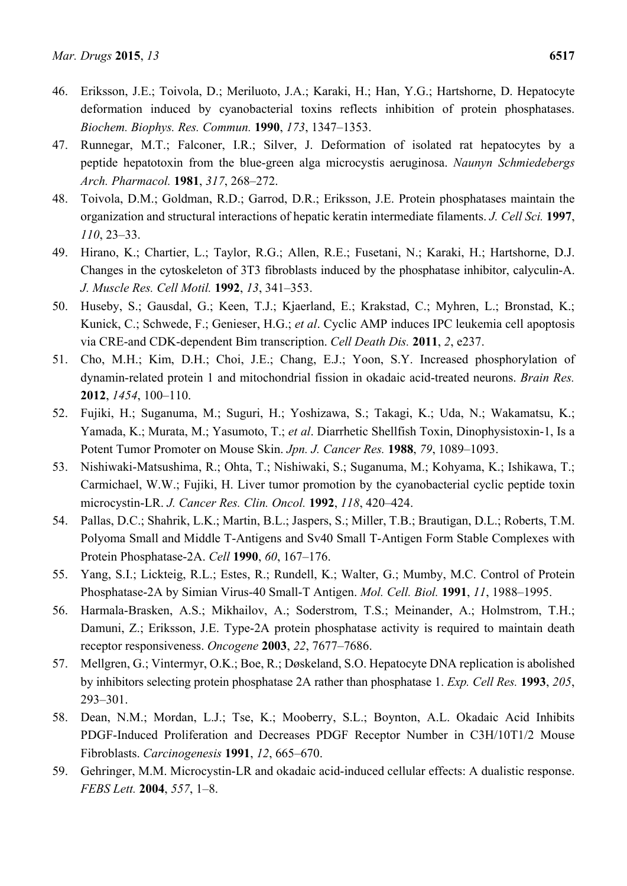- 46. Eriksson, J.E.; Toivola, D.; Meriluoto, J.A.; Karaki, H.; Han, Y.G.; Hartshorne, D. Hepatocyte deformation induced by cyanobacterial toxins reflects inhibition of protein phosphatases. *Biochem. Biophys. Res. Commun.* **1990**, *173*, 1347–1353.
- 47. Runnegar, M.T.; Falconer, I.R.; Silver, J. Deformation of isolated rat hepatocytes by a peptide hepatotoxin from the blue-green alga microcystis aeruginosa. *Naunyn Schmiedebergs Arch. Pharmacol.* **1981**, *317*, 268–272.
- 48. Toivola, D.M.; Goldman, R.D.; Garrod, D.R.; Eriksson, J.E. Protein phosphatases maintain the organization and structural interactions of hepatic keratin intermediate filaments. *J. Cell Sci.* **1997**, *110*, 23–33.
- 49. Hirano, K.; Chartier, L.; Taylor, R.G.; Allen, R.E.; Fusetani, N.; Karaki, H.; Hartshorne, D.J. Changes in the cytoskeleton of 3T3 fibroblasts induced by the phosphatase inhibitor, calyculin-A. *J. Muscle Res. Cell Motil.* **1992**, *13*, 341–353.
- 50. Huseby, S.; Gausdal, G.; Keen, T.J.; Kjaerland, E.; Krakstad, C.; Myhren, L.; Bronstad, K.; Kunick, C.; Schwede, F.; Genieser, H.G.; *et al*. Cyclic AMP induces IPC leukemia cell apoptosis via CRE-and CDK-dependent Bim transcription. *Cell Death Dis.* **2011**, *2*, e237.
- 51. Cho, M.H.; Kim, D.H.; Choi, J.E.; Chang, E.J.; Yoon, S.Y. Increased phosphorylation of dynamin-related protein 1 and mitochondrial fission in okadaic acid-treated neurons. *Brain Res.* **2012**, *1454*, 100–110.
- 52. Fujiki, H.; Suganuma, M.; Suguri, H.; Yoshizawa, S.; Takagi, K.; Uda, N.; Wakamatsu, K.; Yamada, K.; Murata, M.; Yasumoto, T.; *et al*. Diarrhetic Shellfish Toxin, Dinophysistoxin-1, Is a Potent Tumor Promoter on Mouse Skin. *Jpn. J. Cancer Res.* **1988**, *79*, 1089–1093.
- 53. Nishiwaki-Matsushima, R.; Ohta, T.; Nishiwaki, S.; Suganuma, M.; Kohyama, K.; Ishikawa, T.; Carmichael, W.W.; Fujiki, H. Liver tumor promotion by the cyanobacterial cyclic peptide toxin microcystin-LR. *J. Cancer Res. Clin. Oncol.* **1992**, *118*, 420–424.
- 54. Pallas, D.C.; Shahrik, L.K.; Martin, B.L.; Jaspers, S.; Miller, T.B.; Brautigan, D.L.; Roberts, T.M. Polyoma Small and Middle T-Antigens and Sv40 Small T-Antigen Form Stable Complexes with Protein Phosphatase-2A. *Cell* **1990**, *60*, 167–176.
- 55. Yang, S.I.; Lickteig, R.L.; Estes, R.; Rundell, K.; Walter, G.; Mumby, M.C. Control of Protein Phosphatase-2A by Simian Virus-40 Small-T Antigen. *Mol. Cell. Biol.* **1991**, *11*, 1988–1995.
- 56. Harmala-Brasken, A.S.; Mikhailov, A.; Soderstrom, T.S.; Meinander, A.; Holmstrom, T.H.; Damuni, Z.; Eriksson, J.E. Type-2A protein phosphatase activity is required to maintain death receptor responsiveness. *Oncogene* **2003**, *22*, 7677–7686.
- 57. Mellgren, G.; Vintermyr, O.K.; Boe, R.; Døskeland, S.O. Hepatocyte DNA replication is abolished by inhibitors selecting protein phosphatase 2A rather than phosphatase 1. *Exp. Cell Res.* **1993**, *205*, 293–301.
- 58. Dean, N.M.; Mordan, L.J.; Tse, K.; Mooberry, S.L.; Boynton, A.L. Okadaic Acid Inhibits PDGF-Induced Proliferation and Decreases PDGF Receptor Number in C3H/10T1/2 Mouse Fibroblasts. *Carcinogenesis* **1991**, *12*, 665–670.
- 59. Gehringer, M.M. Microcystin-LR and okadaic acid-induced cellular effects: A dualistic response. *FEBS Lett.* **2004**, *557*, 1–8.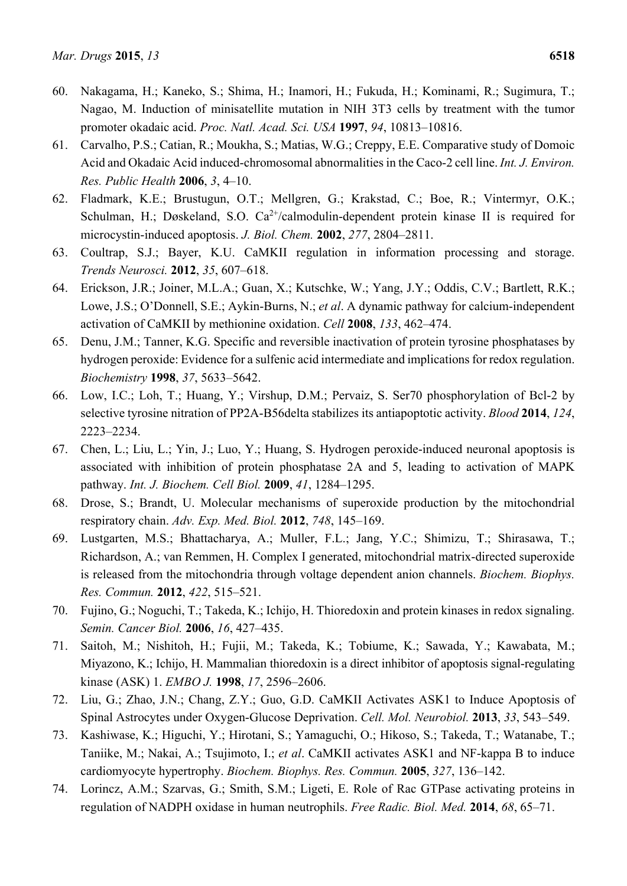- 60. Nakagama, H.; Kaneko, S.; Shima, H.; Inamori, H.; Fukuda, H.; Kominami, R.; Sugimura, T.; Nagao, M. Induction of minisatellite mutation in NIH 3T3 cells by treatment with the tumor promoter okadaic acid. *Proc. Natl. Acad. Sci. USA* **1997**, *94*, 10813–10816.
- 61. Carvalho, P.S.; Catian, R.; Moukha, S.; Matias, W.G.; Creppy, E.E. Comparative study of Domoic Acid and Okadaic Acid induced-chromosomal abnormalities in the Caco-2 cell line. *Int. J. Environ. Res. Public Health* **2006**, *3*, 4–10.
- 62. Fladmark, K.E.; Brustugun, O.T.; Mellgren, G.; Krakstad, C.; Boe, R.; Vintermyr, O.K.; Schulman, H.; Døskeland, S.O.  $Ca^{2+}/c$ almodulin-dependent protein kinase II is required for microcystin-induced apoptosis. *J. Biol. Chem.* **2002**, *277*, 2804–2811.
- 63. Coultrap, S.J.; Bayer, K.U. CaMKII regulation in information processing and storage. *Trends Neurosci.* **2012**, *35*, 607–618.
- 64. Erickson, J.R.; Joiner, M.L.A.; Guan, X.; Kutschke, W.; Yang, J.Y.; Oddis, C.V.; Bartlett, R.K.; Lowe, J.S.; O'Donnell, S.E.; Aykin-Burns, N.; *et al*. A dynamic pathway for calcium-independent activation of CaMKII by methionine oxidation. *Cell* **2008**, *133*, 462–474.
- 65. Denu, J.M.; Tanner, K.G. Specific and reversible inactivation of protein tyrosine phosphatases by hydrogen peroxide: Evidence for a sulfenic acid intermediate and implications for redox regulation. *Biochemistry* **1998**, *37*, 5633–5642.
- 66. Low, I.C.; Loh, T.; Huang, Y.; Virshup, D.M.; Pervaiz, S. Ser70 phosphorylation of Bcl-2 by selective tyrosine nitration of PP2A-B56delta stabilizes its antiapoptotic activity. *Blood* **2014**, *124*, 2223–2234.
- 67. Chen, L.; Liu, L.; Yin, J.; Luo, Y.; Huang, S. Hydrogen peroxide-induced neuronal apoptosis is associated with inhibition of protein phosphatase 2A and 5, leading to activation of MAPK pathway. *Int. J. Biochem. Cell Biol.* **2009**, *41*, 1284–1295.
- 68. Drose, S.; Brandt, U. Molecular mechanisms of superoxide production by the mitochondrial respiratory chain. *Adv. Exp. Med. Biol.* **2012**, *748*, 145–169.
- 69. Lustgarten, M.S.; Bhattacharya, A.; Muller, F.L.; Jang, Y.C.; Shimizu, T.; Shirasawa, T.; Richardson, A.; van Remmen, H. Complex I generated, mitochondrial matrix-directed superoxide is released from the mitochondria through voltage dependent anion channels. *Biochem. Biophys. Res. Commun.* **2012**, *422*, 515–521.
- 70. Fujino, G.; Noguchi, T.; Takeda, K.; Ichijo, H. Thioredoxin and protein kinases in redox signaling. *Semin. Cancer Biol.* **2006**, *16*, 427–435.
- 71. Saitoh, M.; Nishitoh, H.; Fujii, M.; Takeda, K.; Tobiume, K.; Sawada, Y.; Kawabata, M.; Miyazono, K.; Ichijo, H. Mammalian thioredoxin is a direct inhibitor of apoptosis signal-regulating kinase (ASK) 1. *EMBO J.* **1998**, *17*, 2596–2606.
- 72. Liu, G.; Zhao, J.N.; Chang, Z.Y.; Guo, G.D. CaMKII Activates ASK1 to Induce Apoptosis of Spinal Astrocytes under Oxygen-Glucose Deprivation. *Cell. Mol. Neurobiol.* **2013**, *33*, 543–549.
- 73. Kashiwase, K.; Higuchi, Y.; Hirotani, S.; Yamaguchi, O.; Hikoso, S.; Takeda, T.; Watanabe, T.; Taniike, M.; Nakai, A.; Tsujimoto, I.; *et al*. CaMKII activates ASK1 and NF-kappa B to induce cardiomyocyte hypertrophy. *Biochem. Biophys. Res. Commun.* **2005**, *327*, 136–142.
- 74. Lorincz, A.M.; Szarvas, G.; Smith, S.M.; Ligeti, E. Role of Rac GTPase activating proteins in regulation of NADPH oxidase in human neutrophils. *Free Radic. Biol. Med.* **2014**, *68*, 65–71.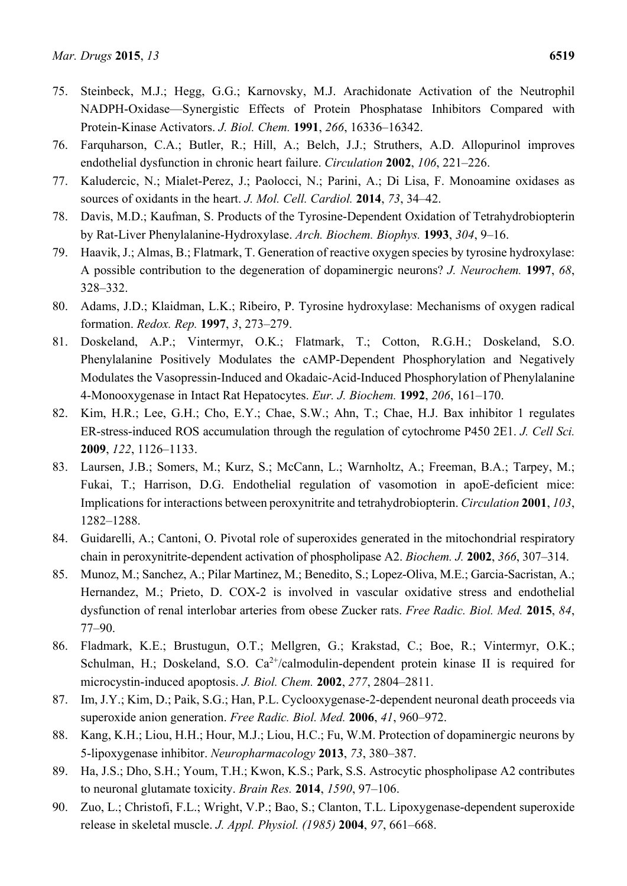- 75. Steinbeck, M.J.; Hegg, G.G.; Karnovsky, M.J. Arachidonate Activation of the Neutrophil NADPH-Oxidase—Synergistic Effects of Protein Phosphatase Inhibitors Compared with Protein-Kinase Activators. *J. Biol. Chem.* **1991**, *266*, 16336–16342.
- 76. Farquharson, C.A.; Butler, R.; Hill, A.; Belch, J.J.; Struthers, A.D. Allopurinol improves endothelial dysfunction in chronic heart failure. *Circulation* **2002**, *106*, 221–226.
- 77. Kaludercic, N.; Mialet-Perez, J.; Paolocci, N.; Parini, A.; Di Lisa, F. Monoamine oxidases as sources of oxidants in the heart. *J. Mol. Cell. Cardiol.* **2014**, *73*, 34–42.
- 78. Davis, M.D.; Kaufman, S. Products of the Tyrosine-Dependent Oxidation of Tetrahydrobiopterin by Rat-Liver Phenylalanine-Hydroxylase. *Arch. Biochem. Biophys.* **1993**, *304*, 9–16.
- 79. Haavik, J.; Almas, B.; Flatmark, T. Generation of reactive oxygen species by tyrosine hydroxylase: A possible contribution to the degeneration of dopaminergic neurons? *J. Neurochem.* **1997**, *68*, 328–332.
- 80. Adams, J.D.; Klaidman, L.K.; Ribeiro, P. Tyrosine hydroxylase: Mechanisms of oxygen radical formation. *Redox. Rep.* **1997**, *3*, 273–279.
- 81. Doskeland, A.P.; Vintermyr, O.K.; Flatmark, T.; Cotton, R.G.H.; Doskeland, S.O. Phenylalanine Positively Modulates the cAMP-Dependent Phosphorylation and Negatively Modulates the Vasopressin-Induced and Okadaic-Acid-Induced Phosphorylation of Phenylalanine 4-Monooxygenase in Intact Rat Hepatocytes. *Eur. J. Biochem.* **1992**, *206*, 161–170.
- 82. Kim, H.R.; Lee, G.H.; Cho, E.Y.; Chae, S.W.; Ahn, T.; Chae, H.J. Bax inhibitor 1 regulates ER-stress-induced ROS accumulation through the regulation of cytochrome P450 2E1. *J. Cell Sci.* **2009**, *122*, 1126–1133.
- 83. Laursen, J.B.; Somers, M.; Kurz, S.; McCann, L.; Warnholtz, A.; Freeman, B.A.; Tarpey, M.; Fukai, T.; Harrison, D.G. Endothelial regulation of vasomotion in apoE-deficient mice: Implications for interactions between peroxynitrite and tetrahydrobiopterin. *Circulation* **2001**, *103*, 1282–1288.
- 84. Guidarelli, A.; Cantoni, O. Pivotal role of superoxides generated in the mitochondrial respiratory chain in peroxynitrite-dependent activation of phospholipase A2. *Biochem. J.* **2002**, *366*, 307–314.
- 85. Munoz, M.; Sanchez, A.; Pilar Martinez, M.; Benedito, S.; Lopez-Oliva, M.E.; Garcia-Sacristan, A.; Hernandez, M.; Prieto, D. COX-2 is involved in vascular oxidative stress and endothelial dysfunction of renal interlobar arteries from obese Zucker rats. *Free Radic. Biol. Med.* **2015**, *84*, 77–90.
- 86. Fladmark, K.E.; Brustugun, O.T.; Mellgren, G.; Krakstad, C.; Boe, R.; Vintermyr, O.K.; Schulman, H.; Doskeland, S.O.  $Ca^{2+}/cal$ calmodulin-dependent protein kinase II is required for microcystin-induced apoptosis. *J. Biol. Chem.* **2002**, *277*, 2804–2811.
- 87. Im, J.Y.; Kim, D.; Paik, S.G.; Han, P.L. Cyclooxygenase-2-dependent neuronal death proceeds via superoxide anion generation. *Free Radic. Biol. Med.* **2006**, *41*, 960–972.
- 88. Kang, K.H.; Liou, H.H.; Hour, M.J.; Liou, H.C.; Fu, W.M. Protection of dopaminergic neurons by 5-lipoxygenase inhibitor. *Neuropharmacology* **2013**, *73*, 380–387.
- 89. Ha, J.S.; Dho, S.H.; Youm, T.H.; Kwon, K.S.; Park, S.S. Astrocytic phospholipase A2 contributes to neuronal glutamate toxicity. *Brain Res.* **2014**, *1590*, 97–106.
- 90. Zuo, L.; Christofi, F.L.; Wright, V.P.; Bao, S.; Clanton, T.L. Lipoxygenase-dependent superoxide release in skeletal muscle. *J. Appl. Physiol. (1985)* **2004**, *97*, 661–668.